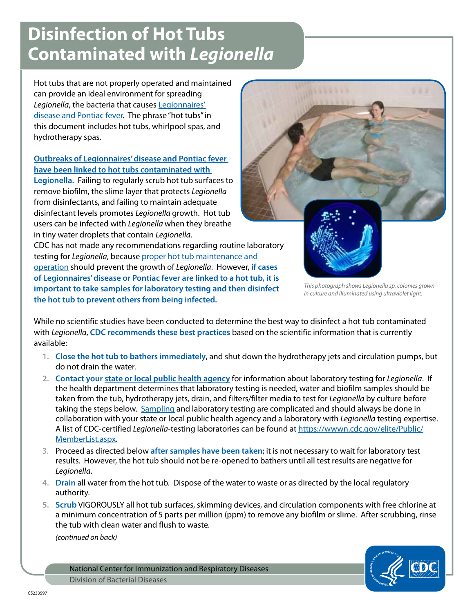## **Disinfection of Hot Tubs Contaminated with** *Legionella*

Hot tubs that are not properly operated and maintained can provide an ideal environment for spreading *Legionella*, the bacteria that causes [Legionnaires'](http://www.cdc.gov/legionella/patient_facts.htm)  [disease and Pontiac fever.](http://www.cdc.gov/legionella/patient_facts.htm) The phrase "hot tubs" in this document includes hot tubs, whirlpool spas, and hydrotherapy spas.

## **[Outbreaks of Legionnaires' disease and Pontiac fever](http://www.cdc.gov/healthywater/pdf/swimming/resources/operating-public-hot-tubs-factsheet.pdf)  [have been linked to hot tubs contaminated with](http://www.cdc.gov/healthywater/pdf/swimming/resources/operating-public-hot-tubs-factsheet.pdf)**

**[Legionella](http://www.cdc.gov/healthywater/pdf/swimming/resources/operating-public-hot-tubs-factsheet.pdf).** Failing to regularly scrub hot tub surfaces to remove biofilm, the slime layer that protects *Legionella* from disinfectants, and failing to maintain adequate disinfectant levels promotes *Legionella* growth. Hot tub users can be infected with *Legionella* when they breathe in tiny water droplets that contain *Legionella*.

CDC has not made any recommendations regarding routine laboratory testing for *Legionella*, because [proper hot tub maintenance and](http://www.cdc.gov/healthywater/pdf/swimming/resources/operating-public-hot-tubs-factsheet.pdf)  [operation](http://www.cdc.gov/healthywater/pdf/swimming/resources/operating-public-hot-tubs-factsheet.pdf) should prevent the growth of *Legionella*. However, **if cases of Legionnaires' disease or Pontiac fever are linked to a hot tub, it is important to take samples for laboratory testing and then disinfect the hot tub to prevent others from being infected.**



*This photograph shows Legionella sp. colonies grown in culture and illuminated using ultraviolet light.*

While no scientific studies have been conducted to determine the best way to disinfect a hot tub contaminated with *Legionella*, **CDC recommends these best practices** based on the scientific information that is currently available:

- **1. Close the hot tub to bathers immediately**, and shut down the hydrotherapy jets and circulation pumps, but do not drain the water.
- **2. Contact your [state or local public health agency](http://www.cdc.gov/mmwr/international/relres.html)** for information about laboratory testing for *Legionella*. If the health department determines that laboratory testing is needed, water and biofilm samples should be taken from the tub, hydrotherapy jets, drain, and filters/filter media to test for *Legionella* by culture before taking the steps below. [Sampling](http://www.cdc.gov/legionella/procedures.htm) and laboratory testing are complicated and should always be done in collaboration with your state or local public health agency and a laboratory with *Legionella* testing expertise. A list of CDC-certified *Legionella*-testing laboratories can be found at [https://wwwn.cdc.gov/elite/Public/](https://wwwn.cdc.gov/elite/Public/MemberList.aspx) [MemberList.aspx.](https://wwwn.cdc.gov/elite/Public/MemberList.aspx)
- 3. Proceed as directed below **after samples have been taken**; it is not necessary to wait for laboratory test results. However, the hot tub should not be re-opened to bathers until all test results are negative for *Legionella*.
- **4. Drain** all water from the hot tub. Dispose of the water to waste or as directed by the local regulatory authority.
- **5. Scrub** VIGOROUSLY all hot tub surfaces, skimming devices, and circulation components with free chlorine at a minimum concentration of 5 parts per million (ppm) to remove any biofilm or slime. After scrubbing, rinse the tub with clean water and flush to waste.

*(continued on back)*

National Center for Immunization and Respiratory Diseases Division of Bacterial Diseases